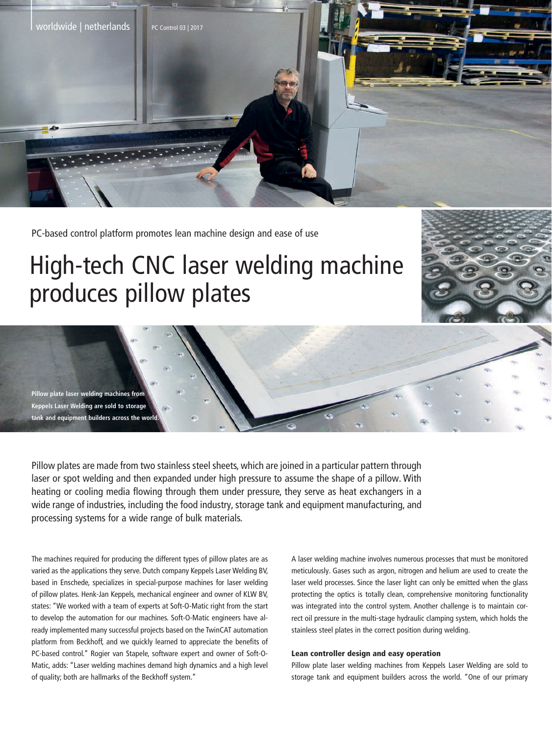

PC-based control platform promotes lean machine design and ease of use

## High-tech CNC laser welding machine produces pillow plates

**Pillow plate laser welding machines from Keppels Laser Welding are sold to storage tank and equipment builders across the world.**

Pillow plates are made from two stainless steel sheets, which are joined in a particular pattern through laser or spot welding and then expanded under high pressure to assume the shape of a pillow. With heating or cooling media flowing through them under pressure, they serve as heat exchangers in a wide range of industries, including the food industry, storage tank and equipment manufacturing, and processing systems for a wide range of bulk materials.

The machines required for producing the different types of pillow plates are as varied as the applications they serve. Dutch company Keppels Laser Welding BV, based in Enschede, specializes in special-purpose machines for laser welding of pillow plates. Henk-Jan Keppels, mechanical engineer and owner of KLW BV, states: "We worked with a team of experts at Soft-O-Matic right from the start to develop the automation for our machines. Soft-O-Matic engineers have already implemented many successful projects based on the TwinCAT automation platform from Beckhoff, and we quickly learned to appreciate the benefits of PC-based control." Rogier van Stapele, software expert and owner of Soft-O-Matic, adds: "Laser welding machines demand high dynamics and a high level of quality; both are hallmarks of the Beckhoff system."

A laser welding machine involves numerous processes that must be monitored meticulously. Gases such as argon, nitrogen and helium are used to create the laser weld processes. Since the laser light can only be emitted when the glass protecting the optics is totally clean, comprehensive monitoring functionality was integrated into the control system. Another challenge is to maintain correct oil pressure in the multi-stage hydraulic clamping system, which holds the stainless steel plates in the correct position during welding.

## Lean controller design and easy operation

Pillow plate laser welding machines from Keppels Laser Welding are sold to storage tank and equipment builders across the world. "One of our primary